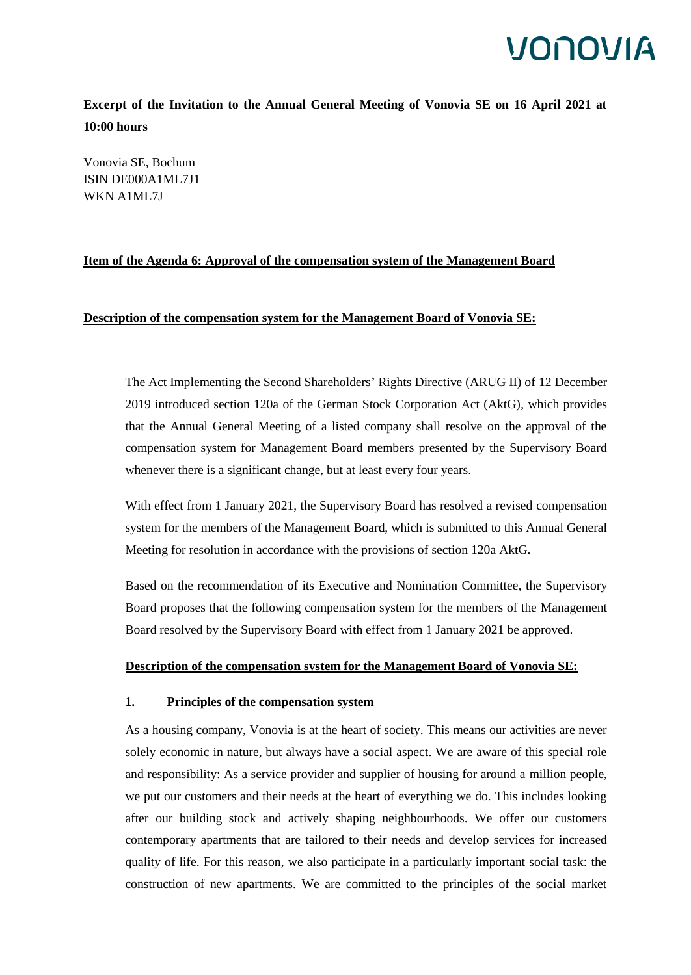**Excerpt of the Invitation to the Annual General Meeting of Vonovia SE on 16 April 2021 at 10:00 hours**

Vonovia SE, Bochum ISIN DE000A1ML7J1 WKN A1ML7J

### **Item of the Agenda 6: Approval of the compensation system of the Management Board**

### **Description of the compensation system for the Management Board of Vonovia SE:**

The Act Implementing the Second Shareholders' Rights Directive (ARUG II) of 12 December 2019 introduced section 120a of the German Stock Corporation Act (AktG), which provides that the Annual General Meeting of a listed company shall resolve on the approval of the compensation system for Management Board members presented by the Supervisory Board whenever there is a significant change, but at least every four years.

With effect from 1 January 2021, the Supervisory Board has resolved a revised compensation system for the members of the Management Board, which is submitted to this Annual General Meeting for resolution in accordance with the provisions of section 120a AktG.

Based on the recommendation of its Executive and Nomination Committee, the Supervisory Board proposes that the following compensation system for the members of the Management Board resolved by the Supervisory Board with effect from 1 January 2021 be approved.

### **Description of the compensation system for the Management Board of Vonovia SE:**

### **1. Principles of the compensation system**

As a housing company, Vonovia is at the heart of society. This means our activities are never solely economic in nature, but always have a social aspect. We are aware of this special role and responsibility: As a service provider and supplier of housing for around a million people, we put our customers and their needs at the heart of everything we do. This includes looking after our building stock and actively shaping neighbourhoods. We offer our customers contemporary apartments that are tailored to their needs and develop services for increased quality of life. For this reason, we also participate in a particularly important social task: the construction of new apartments. We are committed to the principles of the social market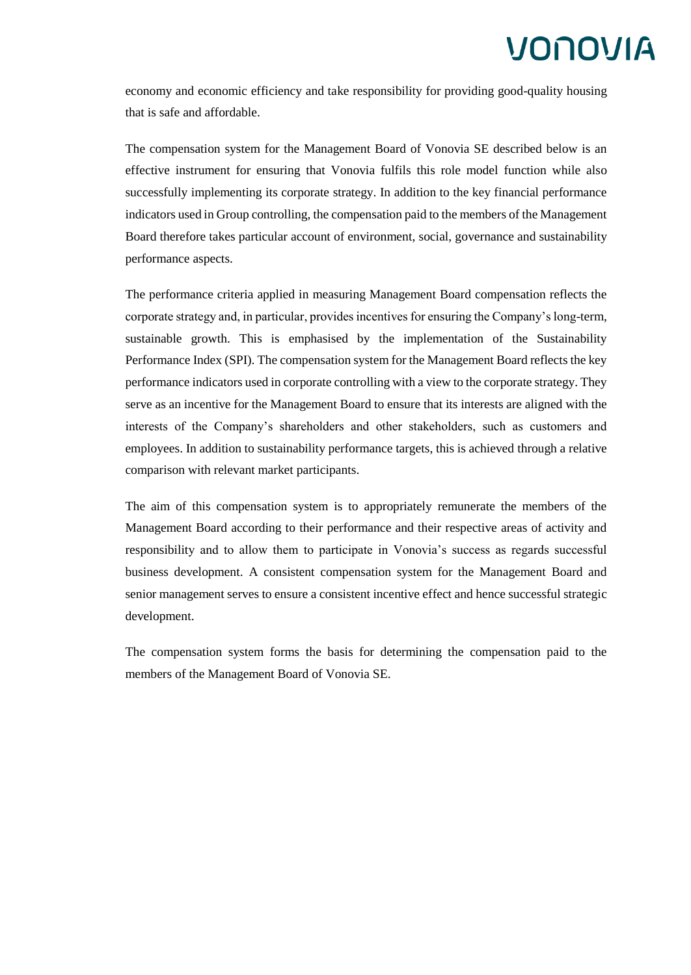economy and economic efficiency and take responsibility for providing good-quality housing that is safe and affordable.

The compensation system for the Management Board of Vonovia SE described below is an effective instrument for ensuring that Vonovia fulfils this role model function while also successfully implementing its corporate strategy. In addition to the key financial performance indicators used in Group controlling, the compensation paid to the members of the Management Board therefore takes particular account of environment, social, governance and sustainability performance aspects.

The performance criteria applied in measuring Management Board compensation reflects the corporate strategy and, in particular, provides incentives for ensuring the Company's long-term, sustainable growth. This is emphasised by the implementation of the Sustainability Performance Index (SPI). The compensation system for the Management Board reflects the key performance indicators used in corporate controlling with a view to the corporate strategy. They serve as an incentive for the Management Board to ensure that its interests are aligned with the interests of the Company's shareholders and other stakeholders, such as customers and employees. In addition to sustainability performance targets, this is achieved through a relative comparison with relevant market participants.

The aim of this compensation system is to appropriately remunerate the members of the Management Board according to their performance and their respective areas of activity and responsibility and to allow them to participate in Vonovia's success as regards successful business development. A consistent compensation system for the Management Board and senior management serves to ensure a consistent incentive effect and hence successful strategic development.

The compensation system forms the basis for determining the compensation paid to the members of the Management Board of Vonovia SE.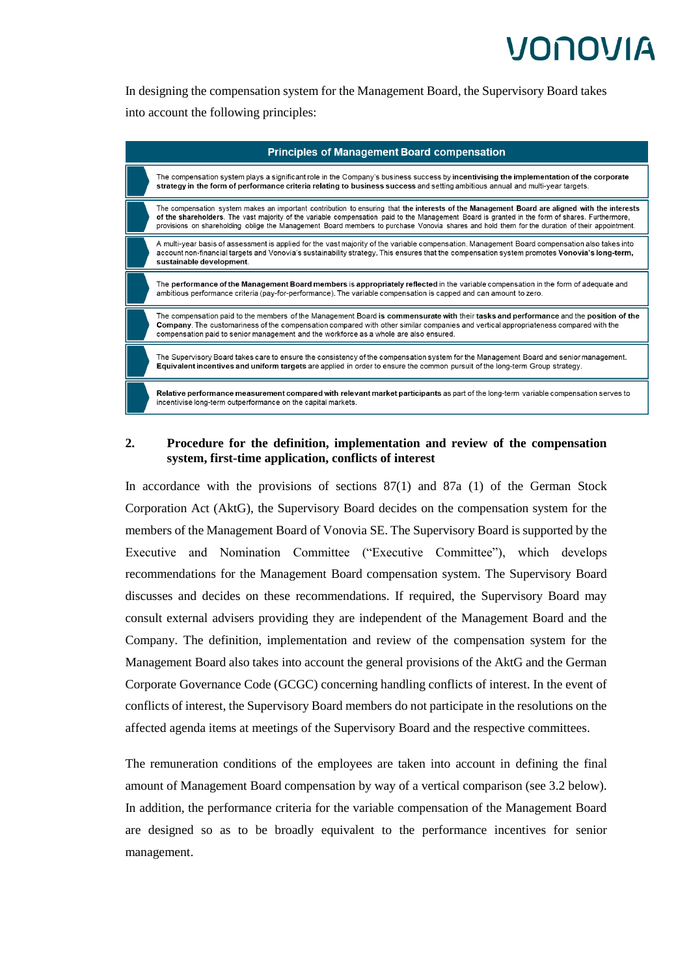In designing the compensation system for the Management Board, the Supervisory Board takes into account the following principles:



### **2. Procedure for the definition, implementation and review of the compensation system, first-time application, conflicts of interest**

In accordance with the provisions of sections 87(1) and 87a (1) of the German Stock Corporation Act (AktG), the Supervisory Board decides on the compensation system for the members of the Management Board of Vonovia SE. The Supervisory Board is supported by the Executive and Nomination Committee ("Executive Committee"), which develops recommendations for the Management Board compensation system. The Supervisory Board discusses and decides on these recommendations. If required, the Supervisory Board may consult external advisers providing they are independent of the Management Board and the Company. The definition, implementation and review of the compensation system for the Management Board also takes into account the general provisions of the AktG and the German Corporate Governance Code (GCGC) concerning handling conflicts of interest. In the event of conflicts of interest, the Supervisory Board members do not participate in the resolutions on the affected agenda items at meetings of the Supervisory Board and the respective committees.

The remuneration conditions of the employees are taken into account in defining the final amount of Management Board compensation by way of a vertical comparison (see 3.2 below). In addition, the performance criteria for the variable compensation of the Management Board are designed so as to be broadly equivalent to the performance incentives for senior management.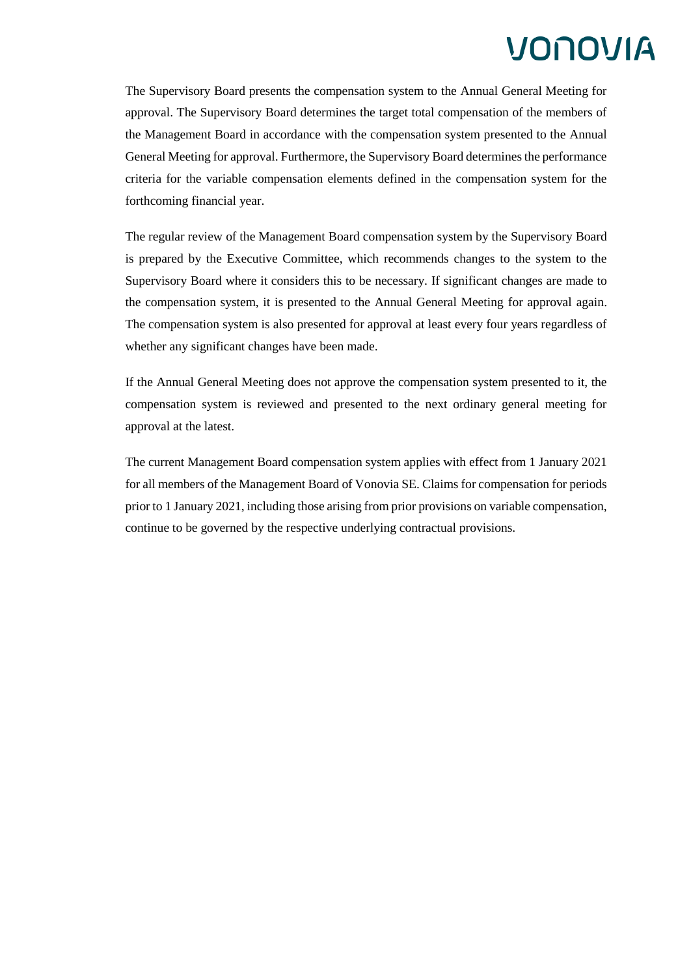The Supervisory Board presents the compensation system to the Annual General Meeting for approval. The Supervisory Board determines the target total compensation of the members of the Management Board in accordance with the compensation system presented to the Annual General Meeting for approval. Furthermore, the Supervisory Board determines the performance criteria for the variable compensation elements defined in the compensation system for the forthcoming financial year.

The regular review of the Management Board compensation system by the Supervisory Board is prepared by the Executive Committee, which recommends changes to the system to the Supervisory Board where it considers this to be necessary. If significant changes are made to the compensation system, it is presented to the Annual General Meeting for approval again. The compensation system is also presented for approval at least every four years regardless of whether any significant changes have been made.

If the Annual General Meeting does not approve the compensation system presented to it, the compensation system is reviewed and presented to the next ordinary general meeting for approval at the latest.

The current Management Board compensation system applies with effect from 1 January 2021 for all members of the Management Board of Vonovia SE. Claims for compensation for periods prior to 1 January 2021, including those arising from prior provisions on variable compensation, continue to be governed by the respective underlying contractual provisions.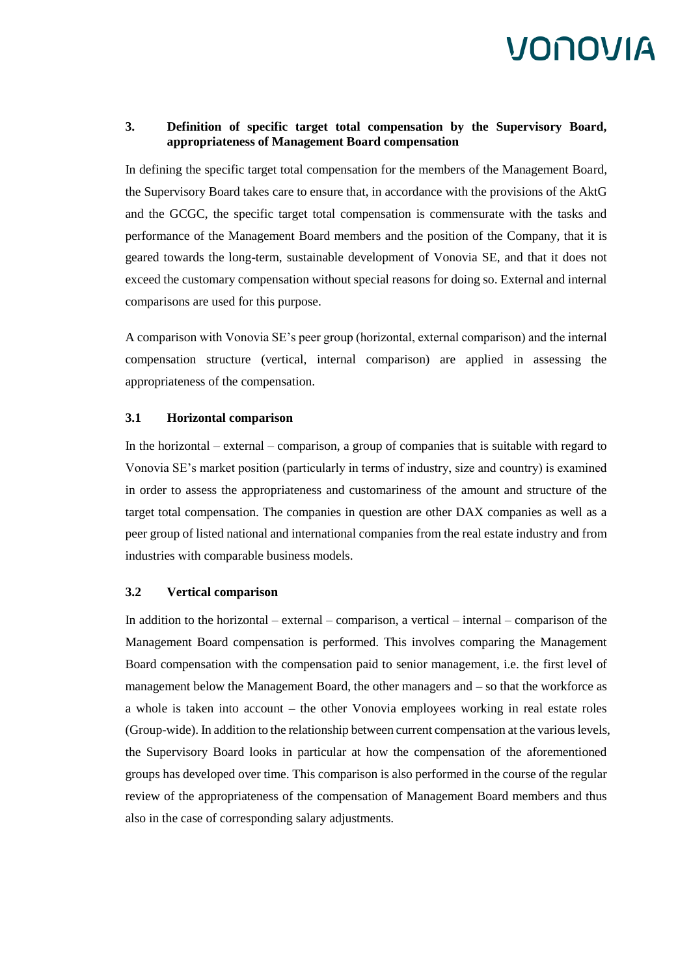### **3. Definition of specific target total compensation by the Supervisory Board, appropriateness of Management Board compensation**

In defining the specific target total compensation for the members of the Management Board, the Supervisory Board takes care to ensure that, in accordance with the provisions of the AktG and the GCGC, the specific target total compensation is commensurate with the tasks and performance of the Management Board members and the position of the Company, that it is geared towards the long-term, sustainable development of Vonovia SE, and that it does not exceed the customary compensation without special reasons for doing so. External and internal comparisons are used for this purpose.

A comparison with Vonovia SE's peer group (horizontal, external comparison) and the internal compensation structure (vertical, internal comparison) are applied in assessing the appropriateness of the compensation.

#### **3.1 Horizontal comparison**

In the horizontal – external – comparison, a group of companies that is suitable with regard to Vonovia SE's market position (particularly in terms of industry, size and country) is examined in order to assess the appropriateness and customariness of the amount and structure of the target total compensation. The companies in question are other DAX companies as well as a peer group of listed national and international companies from the real estate industry and from industries with comparable business models.

### **3.2 Vertical comparison**

In addition to the horizontal – external – comparison, a vertical – internal – comparison of the Management Board compensation is performed. This involves comparing the Management Board compensation with the compensation paid to senior management, i.e. the first level of management below the Management Board, the other managers and – so that the workforce as a whole is taken into account – the other Vonovia employees working in real estate roles (Group-wide). In addition to the relationship between current compensation at the various levels, the Supervisory Board looks in particular at how the compensation of the aforementioned groups has developed over time. This comparison is also performed in the course of the regular review of the appropriateness of the compensation of Management Board members and thus also in the case of corresponding salary adjustments.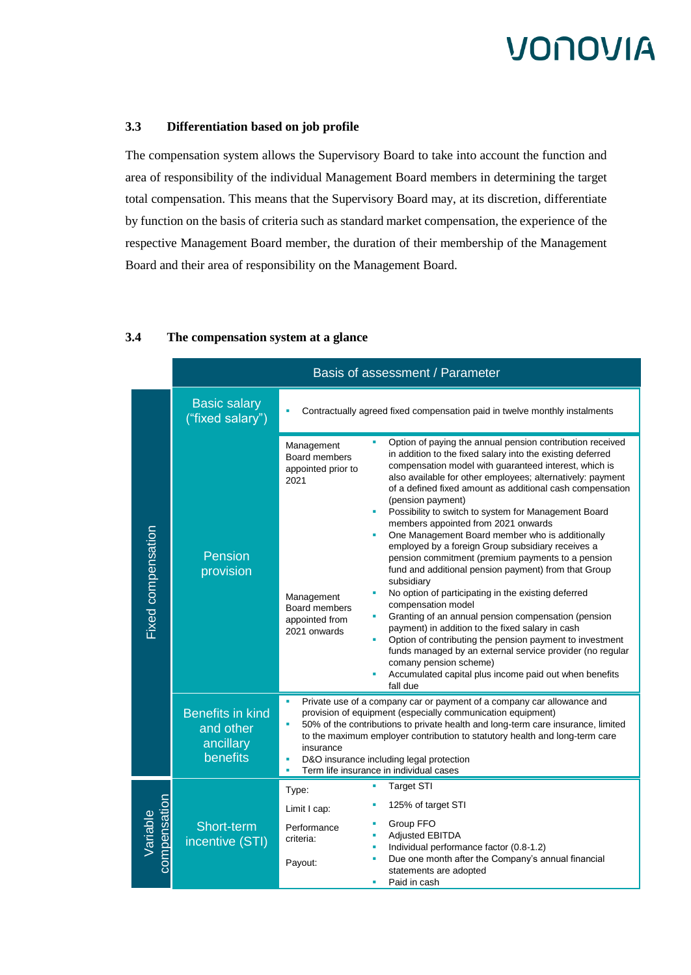### **3.3 Differentiation based on job profile**

The compensation system allows the Supervisory Board to take into account the function and area of responsibility of the individual Management Board members in determining the target total compensation. This means that the Supervisory Board may, at its discretion, differentiate by function on the basis of criteria such as standard market compensation, the experience of the respective Management Board member, the duration of their membership of the Management Board and their area of responsibility on the Management Board.

|                          | Basis of assessment / Parameter                               |                                                                                                                                                                                                                                                                                                                                                                                                                              |                                                                                                                                                                                                                                                                                                                                                                                                                                                                                                                                                                                                                                                                                                                                                                                                                                                                                                                                                                                                                                                                                     |  |
|--------------------------|---------------------------------------------------------------|------------------------------------------------------------------------------------------------------------------------------------------------------------------------------------------------------------------------------------------------------------------------------------------------------------------------------------------------------------------------------------------------------------------------------|-------------------------------------------------------------------------------------------------------------------------------------------------------------------------------------------------------------------------------------------------------------------------------------------------------------------------------------------------------------------------------------------------------------------------------------------------------------------------------------------------------------------------------------------------------------------------------------------------------------------------------------------------------------------------------------------------------------------------------------------------------------------------------------------------------------------------------------------------------------------------------------------------------------------------------------------------------------------------------------------------------------------------------------------------------------------------------------|--|
| Fixed compensation       | <b>Basic salary</b><br>("fixed salary")                       | Contractually agreed fixed compensation paid in twelve monthly instalments                                                                                                                                                                                                                                                                                                                                                   |                                                                                                                                                                                                                                                                                                                                                                                                                                                                                                                                                                                                                                                                                                                                                                                                                                                                                                                                                                                                                                                                                     |  |
|                          | Pension<br>provision                                          | Management<br>Board members<br>appointed prior to<br>2021<br>Management<br>Board members<br>appointed from<br>2021 onwards                                                                                                                                                                                                                                                                                                   | Option of paying the annual pension contribution received<br>in addition to the fixed salary into the existing deferred<br>compensation model with guaranteed interest, which is<br>also available for other employees; alternatively: payment<br>of a defined fixed amount as additional cash compensation<br>(pension payment)<br>Possibility to switch to system for Management Board<br>members appointed from 2021 onwards<br>One Management Board member who is additionally<br>employed by a foreign Group subsidiary receives a<br>pension commitment (premium payments to a pension<br>fund and additional pension payment) from that Group<br>subsidiary<br>No option of participating in the existing deferred<br>compensation model<br>Granting of an annual pension compensation (pension<br>payment) in addition to the fixed salary in cash<br>Option of contributing the pension payment to investment<br>funds managed by an external service provider (no regular<br>comany pension scheme)<br>Accumulated capital plus income paid out when benefits<br>fall due |  |
|                          | <b>Benefits in kind</b><br>and other<br>ancillary<br>benefits | ٠<br>Private use of a company car or payment of a company car allowance and<br>provision of equipment (especially communication equipment)<br>50% of the contributions to private health and long-term care insurance, limited<br>to the maximum employer contribution to statutory health and long-term care<br>insurance<br>D&O insurance including legal protection<br>×<br>Term life insurance in individual cases<br>à, |                                                                                                                                                                                                                                                                                                                                                                                                                                                                                                                                                                                                                                                                                                                                                                                                                                                                                                                                                                                                                                                                                     |  |
| compensation<br>Variable | Short-term<br>incentive (STI)                                 | Type:<br>Limit I cap:<br>Performance<br>criteria:<br>Payout:                                                                                                                                                                                                                                                                                                                                                                 | <b>Target STI</b><br>125% of target STI<br>Group FFO<br><b>Adjusted EBITDA</b><br>Individual performance factor (0.8-1.2)<br>Due one month after the Company's annual financial<br>statements are adopted<br>Paid in cash                                                                                                                                                                                                                                                                                                                                                                                                                                                                                                                                                                                                                                                                                                                                                                                                                                                           |  |

### **3.4 The compensation system at a glance**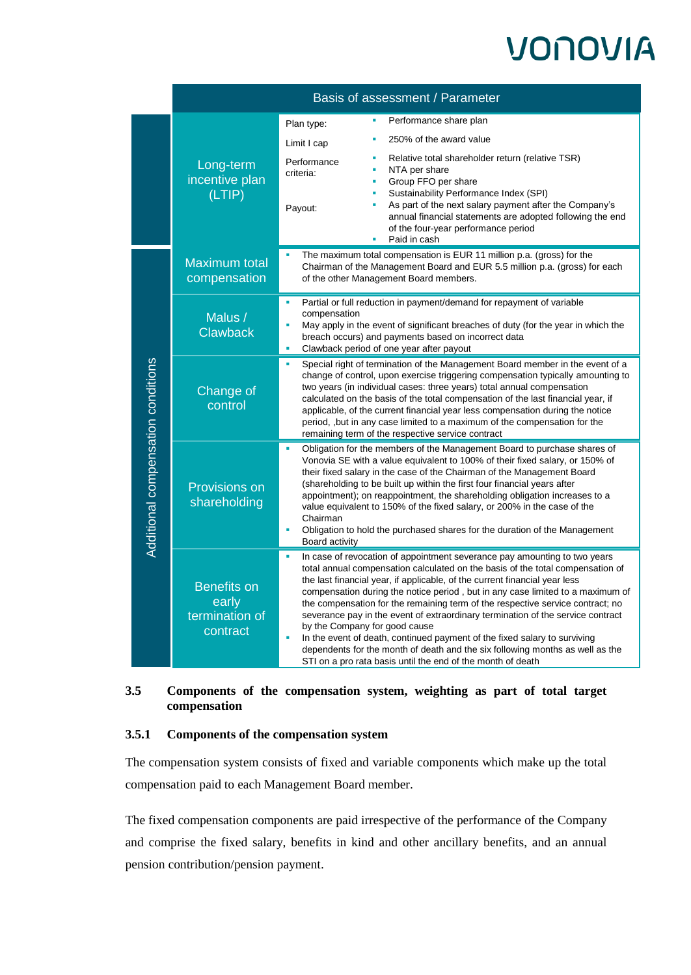|                                    | Basis of assessment / Parameter                           |                                                                                                                                                                                                                                                                                                                                                                                                                                                                                                                                                                                            |                                                                                                                                                                                                                                                                                                                                                                                                                                                                                                                                                                                                                                                                                                                                                                |  |  |
|------------------------------------|-----------------------------------------------------------|--------------------------------------------------------------------------------------------------------------------------------------------------------------------------------------------------------------------------------------------------------------------------------------------------------------------------------------------------------------------------------------------------------------------------------------------------------------------------------------------------------------------------------------------------------------------------------------------|----------------------------------------------------------------------------------------------------------------------------------------------------------------------------------------------------------------------------------------------------------------------------------------------------------------------------------------------------------------------------------------------------------------------------------------------------------------------------------------------------------------------------------------------------------------------------------------------------------------------------------------------------------------------------------------------------------------------------------------------------------------|--|--|
|                                    | Long-term<br>incentive plan<br>(LTIP)                     | Plan type:<br>Limit I cap                                                                                                                                                                                                                                                                                                                                                                                                                                                                                                                                                                  | Performance share plan<br>250% of the award value                                                                                                                                                                                                                                                                                                                                                                                                                                                                                                                                                                                                                                                                                                              |  |  |
|                                    |                                                           | Performance<br>criteria:<br>Payout:                                                                                                                                                                                                                                                                                                                                                                                                                                                                                                                                                        | Relative total shareholder return (relative TSR)<br>NTA per share<br>×<br>Group FFO per share<br>ш<br>Sustainability Performance Index (SPI)<br>×<br>As part of the next salary payment after the Company's<br>×,<br>annual financial statements are adopted following the end<br>of the four-year performance period<br>Paid in cash<br>٠                                                                                                                                                                                                                                                                                                                                                                                                                     |  |  |
| Additional compensation conditions | Maximum total<br>compensation                             | The maximum total compensation is EUR 11 million p.a. (gross) for the<br>Chairman of the Management Board and EUR 5.5 million p.a. (gross) for each<br>of the other Management Board members.                                                                                                                                                                                                                                                                                                                                                                                              |                                                                                                                                                                                                                                                                                                                                                                                                                                                                                                                                                                                                                                                                                                                                                                |  |  |
|                                    | Malus /<br><b>Clawback</b>                                | ×<br>Partial or full reduction in payment/demand for repayment of variable<br>compensation<br>May apply in the event of significant breaches of duty (for the year in which the<br>breach occurs) and payments based on incorrect data<br>Clawback period of one year after payout<br>×                                                                                                                                                                                                                                                                                                    |                                                                                                                                                                                                                                                                                                                                                                                                                                                                                                                                                                                                                                                                                                                                                                |  |  |
|                                    | Change of<br>control                                      | Special right of termination of the Management Board member in the event of a<br>×<br>change of control, upon exercise triggering compensation typically amounting to<br>two years (in individual cases: three years) total annual compensation<br>calculated on the basis of the total compensation of the last financial year, if<br>applicable, of the current financial year less compensation during the notice<br>period, but in any case limited to a maximum of the compensation for the<br>remaining term of the respective service contract                                      |                                                                                                                                                                                                                                                                                                                                                                                                                                                                                                                                                                                                                                                                                                                                                                |  |  |
|                                    | Provisions on<br>shareholding                             | Obligation for the members of the Management Board to purchase shares of<br>Vonovia SE with a value equivalent to 100% of their fixed salary, or 150% of<br>their fixed salary in the case of the Chairman of the Management Board<br>(shareholding to be built up within the first four financial years after<br>appointment); on reappointment, the shareholding obligation increases to a<br>value equivalent to 150% of the fixed salary, or 200% in the case of the<br>Chairman<br>Obligation to hold the purchased shares for the duration of the Management<br>à,<br>Board activity |                                                                                                                                                                                                                                                                                                                                                                                                                                                                                                                                                                                                                                                                                                                                                                |  |  |
|                                    | <b>Benefits on</b><br>early<br>termination of<br>contract |                                                                                                                                                                                                                                                                                                                                                                                                                                                                                                                                                                                            | In case of revocation of appointment severance pay amounting to two years<br>total annual compensation calculated on the basis of the total compensation of<br>the last financial year, if applicable, of the current financial year less<br>compensation during the notice period, but in any case limited to a maximum of<br>the compensation for the remaining term of the respective service contract; no<br>severance pay in the event of extraordinary termination of the service contract<br>by the Company for good cause<br>In the event of death, continued payment of the fixed salary to surviving<br>dependents for the month of death and the six following months as well as the<br>STI on a pro rata basis until the end of the month of death |  |  |

### **3.5 Components of the compensation system, weighting as part of total target compensation**

### **3.5.1 Components of the compensation system**

The compensation system consists of fixed and variable components which make up the total compensation paid to each Management Board member.

The fixed compensation components are paid irrespective of the performance of the Company and comprise the fixed salary, benefits in kind and other ancillary benefits, and an annual pension contribution/pension payment.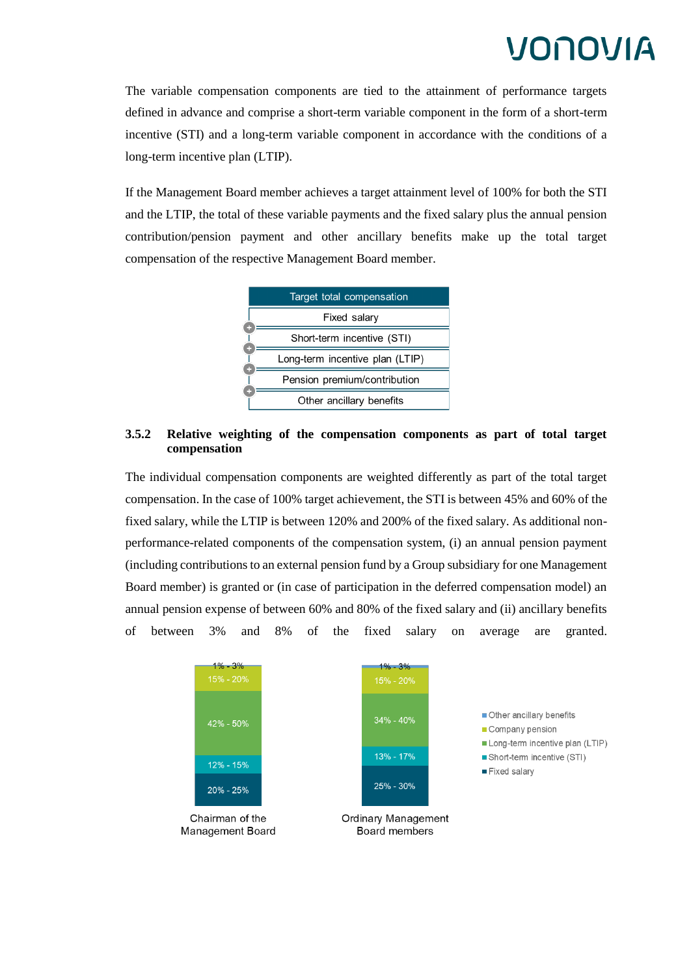The variable compensation components are tied to the attainment of performance targets defined in advance and comprise a short-term variable component in the form of a short-term incentive (STI) and a long-term variable component in accordance with the conditions of a long-term incentive plan (LTIP).

If the Management Board member achieves a target attainment level of 100% for both the STI and the LTIP, the total of these variable payments and the fixed salary plus the annual pension contribution/pension payment and other ancillary benefits make up the total target compensation of the respective Management Board member.



### **3.5.2 Relative weighting of the compensation components as part of total target compensation**

The individual compensation components are weighted differently as part of the total target compensation. In the case of 100% target achievement, the STI is between 45% and 60% of the fixed salary, while the LTIP is between 120% and 200% of the fixed salary. As additional nonperformance-related components of the compensation system, (i) an annual pension payment (including contributions to an external pension fund by a Group subsidiary for one Management Board member) is granted or (in case of participation in the deferred compensation model) an annual pension expense of between 60% and 80% of the fixed salary and (ii) ancillary benefits of between 3% and 8% of the fixed salary on average are granted.

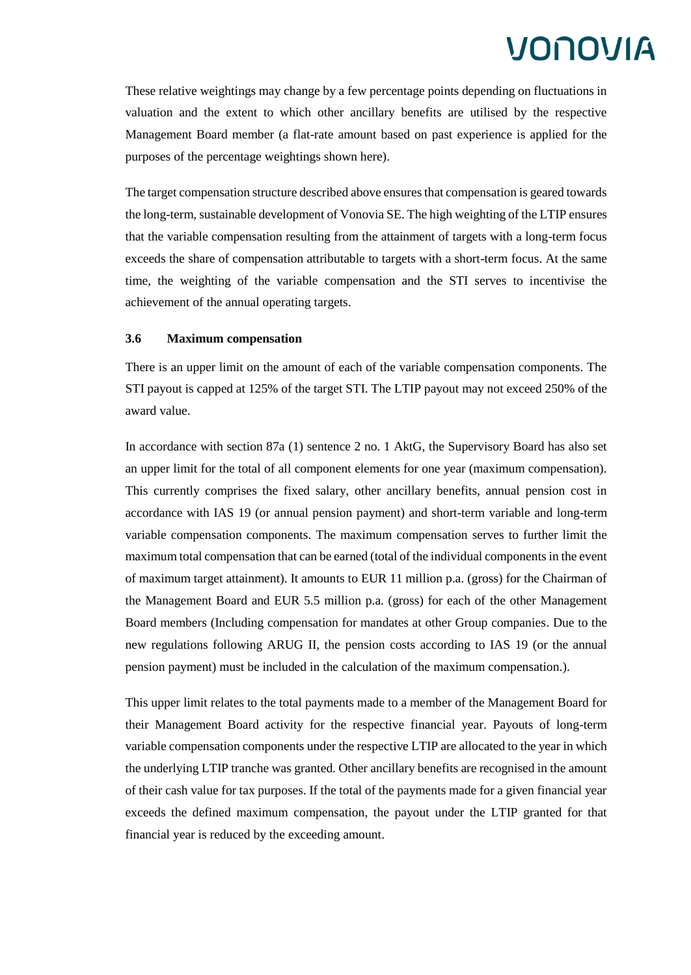These relative weightings may change by a few percentage points depending on fluctuations in valuation and the extent to which other ancillary benefits are utilised by the respective Management Board member (a flat-rate amount based on past experience is applied for the purposes of the percentage weightings shown here).

The target compensation structure described above ensures that compensation is geared towards the long-term, sustainable development of Vonovia SE. The high weighting of the LTIP ensures that the variable compensation resulting from the attainment of targets with a long-term focus exceeds the share of compensation attributable to targets with a short-term focus. At the same time, the weighting of the variable compensation and the STI serves to incentivise the achievement of the annual operating targets.

#### **3.6 Maximum compensation**

There is an upper limit on the amount of each of the variable compensation components. The STI payout is capped at 125% of the target STI. The LTIP payout may not exceed 250% of the award value.

In accordance with section 87a (1) sentence 2 no. 1 AktG, the Supervisory Board has also set an upper limit for the total of all component elements for one year (maximum compensation). This currently comprises the fixed salary, other ancillary benefits, annual pension cost in accordance with IAS 19 (or annual pension payment) and short-term variable and long-term variable compensation components. The maximum compensation serves to further limit the maximum total compensation that can be earned (total of the individual components in the event of maximum target attainment). It amounts to EUR 11 million p.a. (gross) for the Chairman of the Management Board and EUR 5.5 million p.a. (gross) for each of the other Management Board members (Including compensation for mandates at other Group companies. Due to the new regulations following ARUG II, the pension costs according to IAS 19 (or the annual pension payment) must be included in the calculation of the maximum compensation.).

This upper limit relates to the total payments made to a member of the Management Board for their Management Board activity for the respective financial year. Payouts of long-term variable compensation components under the respective LTIP are allocated to the year in which the underlying LTIP tranche was granted. Other ancillary benefits are recognised in the amount of their cash value for tax purposes. If the total of the payments made for a given financial year exceeds the defined maximum compensation, the payout under the LTIP granted for that financial year is reduced by the exceeding amount.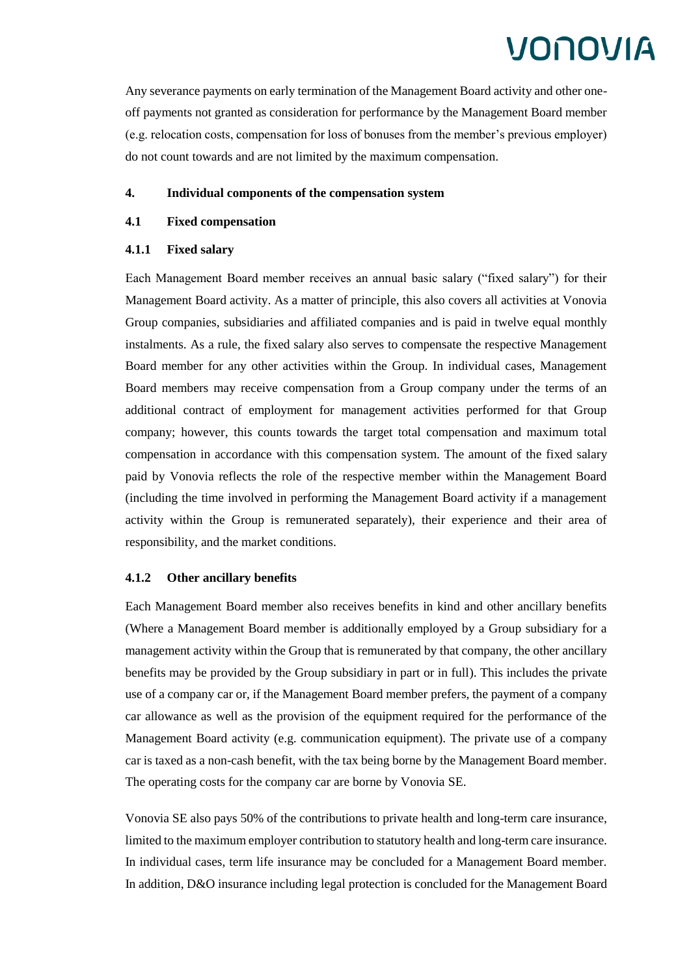Any severance payments on early termination of the Management Board activity and other oneoff payments not granted as consideration for performance by the Management Board member (e.g. relocation costs, compensation for loss of bonuses from the member's previous employer) do not count towards and are not limited by the maximum compensation.

### **4. Individual components of the compensation system**

### **4.1 Fixed compensation**

### **4.1.1 Fixed salary**

Each Management Board member receives an annual basic salary ("fixed salary") for their Management Board activity. As a matter of principle, this also covers all activities at Vonovia Group companies, subsidiaries and affiliated companies and is paid in twelve equal monthly instalments. As a rule, the fixed salary also serves to compensate the respective Management Board member for any other activities within the Group. In individual cases, Management Board members may receive compensation from a Group company under the terms of an additional contract of employment for management activities performed for that Group company; however, this counts towards the target total compensation and maximum total compensation in accordance with this compensation system. The amount of the fixed salary paid by Vonovia reflects the role of the respective member within the Management Board (including the time involved in performing the Management Board activity if a management activity within the Group is remunerated separately), their experience and their area of responsibility, and the market conditions.

### **4.1.2 Other ancillary benefits**

Each Management Board member also receives benefits in kind and other ancillary benefits (Where a Management Board member is additionally employed by a Group subsidiary for a management activity within the Group that is remunerated by that company, the other ancillary benefits may be provided by the Group subsidiary in part or in full). This includes the private use of a company car or, if the Management Board member prefers, the payment of a company car allowance as well as the provision of the equipment required for the performance of the Management Board activity (e.g. communication equipment). The private use of a company car is taxed as a non-cash benefit, with the tax being borne by the Management Board member. The operating costs for the company car are borne by Vonovia SE.

Vonovia SE also pays 50% of the contributions to private health and long-term care insurance, limited to the maximum employer contribution to statutory health and long-term care insurance. In individual cases, term life insurance may be concluded for a Management Board member. In addition, D&O insurance including legal protection is concluded for the Management Board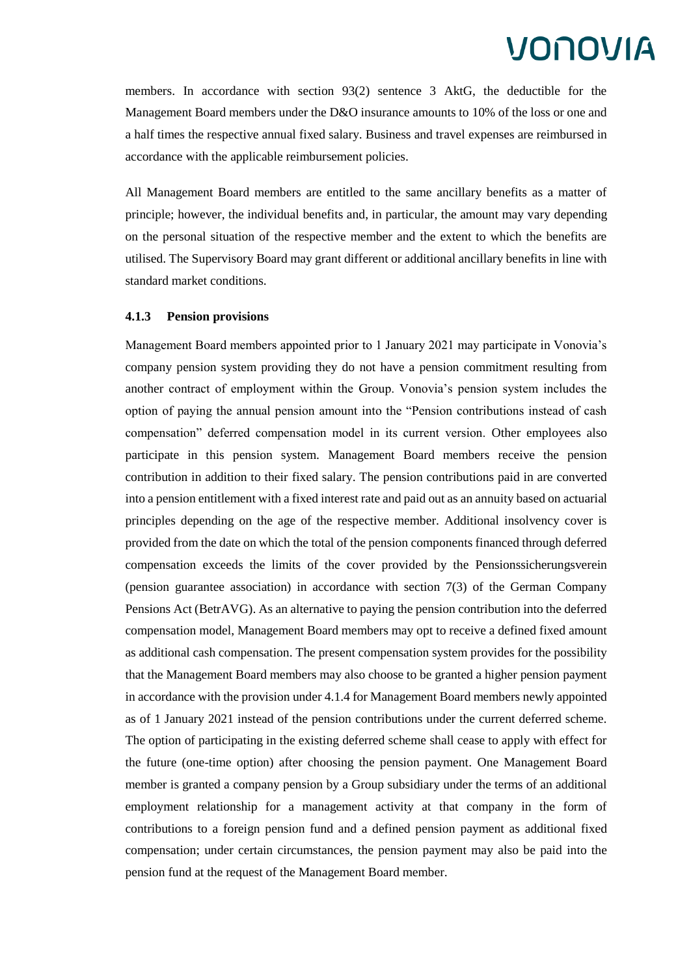members. In accordance with section 93(2) sentence 3 AktG, the deductible for the Management Board members under the D&O insurance amounts to 10% of the loss or one and a half times the respective annual fixed salary. Business and travel expenses are reimbursed in accordance with the applicable reimbursement policies.

All Management Board members are entitled to the same ancillary benefits as a matter of principle; however, the individual benefits and, in particular, the amount may vary depending on the personal situation of the respective member and the extent to which the benefits are utilised. The Supervisory Board may grant different or additional ancillary benefits in line with standard market conditions.

#### **4.1.3 Pension provisions**

Management Board members appointed prior to 1 January 2021 may participate in Vonovia's company pension system providing they do not have a pension commitment resulting from another contract of employment within the Group. Vonovia's pension system includes the option of paying the annual pension amount into the "Pension contributions instead of cash compensation" deferred compensation model in its current version. Other employees also participate in this pension system. Management Board members receive the pension contribution in addition to their fixed salary. The pension contributions paid in are converted into a pension entitlement with a fixed interest rate and paid out as an annuity based on actuarial principles depending on the age of the respective member. Additional insolvency cover is provided from the date on which the total of the pension components financed through deferred compensation exceeds the limits of the cover provided by the Pensionssicherungsverein (pension guarantee association) in accordance with section 7(3) of the German Company Pensions Act (BetrAVG). As an alternative to paying the pension contribution into the deferred compensation model, Management Board members may opt to receive a defined fixed amount as additional cash compensation. The present compensation system provides for the possibility that the Management Board members may also choose to be granted a higher pension payment in accordance with the provision under 4.1.4 for Management Board members newly appointed as of 1 January 2021 instead of the pension contributions under the current deferred scheme. The option of participating in the existing deferred scheme shall cease to apply with effect for the future (one-time option) after choosing the pension payment. One Management Board member is granted a company pension by a Group subsidiary under the terms of an additional employment relationship for a management activity at that company in the form of contributions to a foreign pension fund and a defined pension payment as additional fixed compensation; under certain circumstances, the pension payment may also be paid into the pension fund at the request of the Management Board member.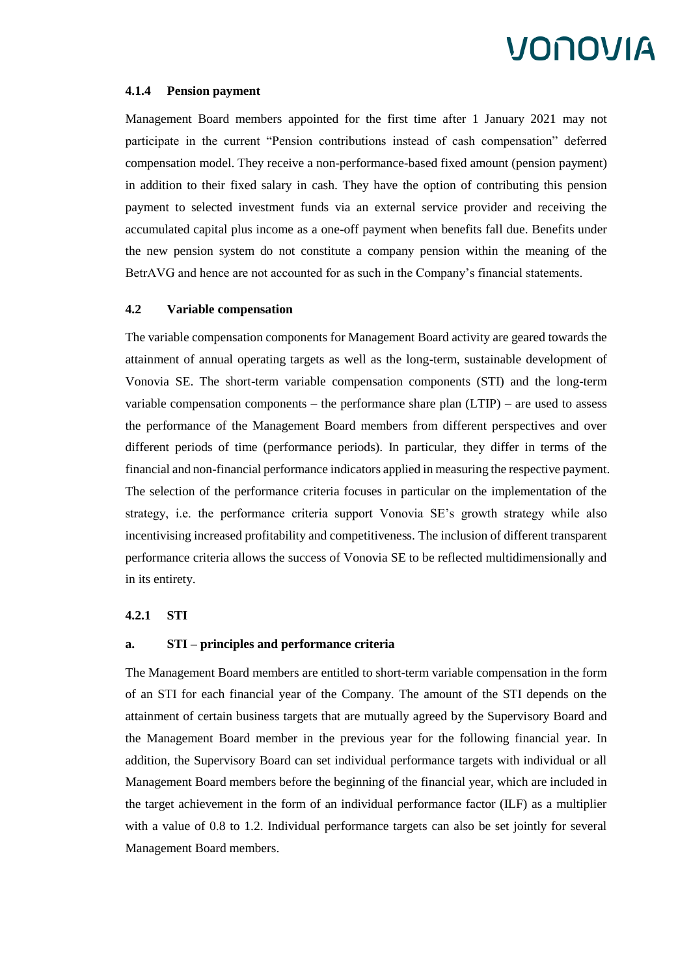#### **4.1.4 Pension payment**

Management Board members appointed for the first time after 1 January 2021 may not participate in the current "Pension contributions instead of cash compensation" deferred compensation model. They receive a non-performance-based fixed amount (pension payment) in addition to their fixed salary in cash. They have the option of contributing this pension payment to selected investment funds via an external service provider and receiving the accumulated capital plus income as a one-off payment when benefits fall due. Benefits under the new pension system do not constitute a company pension within the meaning of the BetrAVG and hence are not accounted for as such in the Company's financial statements.

#### **4.2 Variable compensation**

The variable compensation components for Management Board activity are geared towards the attainment of annual operating targets as well as the long-term, sustainable development of Vonovia SE. The short-term variable compensation components (STI) and the long-term variable compensation components – the performance share plan (LTIP) – are used to assess the performance of the Management Board members from different perspectives and over different periods of time (performance periods). In particular, they differ in terms of the financial and non-financial performance indicators applied in measuring the respective payment. The selection of the performance criteria focuses in particular on the implementation of the strategy, i.e. the performance criteria support Vonovia SE's growth strategy while also incentivising increased profitability and competitiveness. The inclusion of different transparent performance criteria allows the success of Vonovia SE to be reflected multidimensionally and in its entirety.

### **4.2.1 STI**

#### **a. STI – principles and performance criteria**

The Management Board members are entitled to short-term variable compensation in the form of an STI for each financial year of the Company. The amount of the STI depends on the attainment of certain business targets that are mutually agreed by the Supervisory Board and the Management Board member in the previous year for the following financial year. In addition, the Supervisory Board can set individual performance targets with individual or all Management Board members before the beginning of the financial year, which are included in the target achievement in the form of an individual performance factor (ILF) as a multiplier with a value of 0.8 to 1.2. Individual performance targets can also be set jointly for several Management Board members.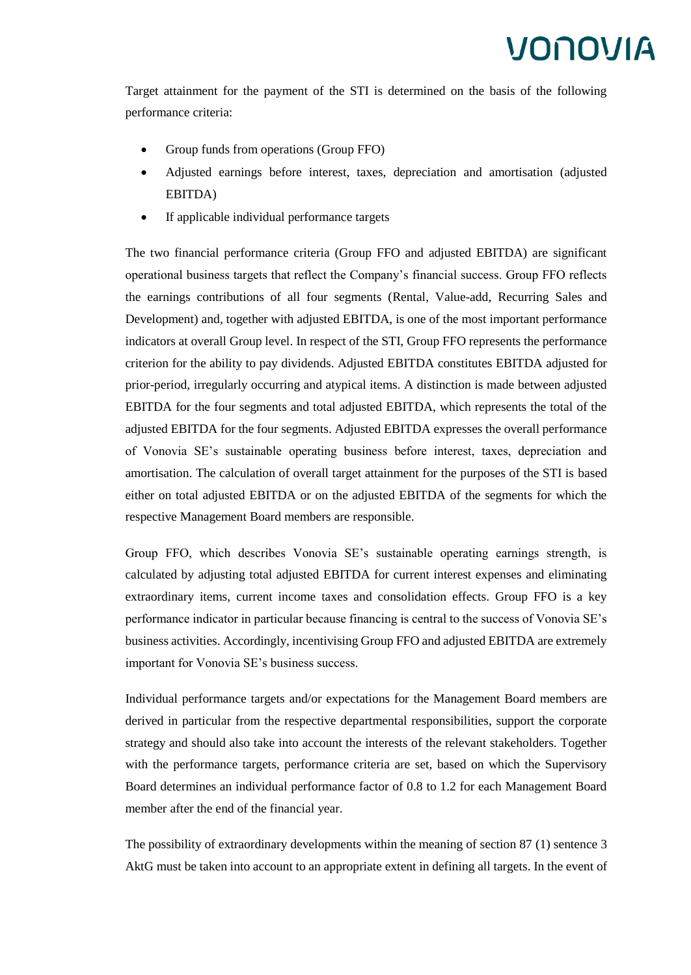Target attainment for the payment of the STI is determined on the basis of the following performance criteria:

- Group funds from operations (Group FFO)
- Adjusted earnings before interest, taxes, depreciation and amortisation (adjusted EBITDA)
- If applicable individual performance targets

The two financial performance criteria (Group FFO and adjusted EBITDA) are significant operational business targets that reflect the Company's financial success. Group FFO reflects the earnings contributions of all four segments (Rental, Value-add, Recurring Sales and Development) and, together with adjusted EBITDA, is one of the most important performance indicators at overall Group level. In respect of the STI, Group FFO represents the performance criterion for the ability to pay dividends. Adjusted EBITDA constitutes EBITDA adjusted for prior-period, irregularly occurring and atypical items. A distinction is made between adjusted EBITDA for the four segments and total adjusted EBITDA, which represents the total of the adjusted EBITDA for the four segments. Adjusted EBITDA expresses the overall performance of Vonovia SE's sustainable operating business before interest, taxes, depreciation and amortisation. The calculation of overall target attainment for the purposes of the STI is based either on total adjusted EBITDA or on the adjusted EBITDA of the segments for which the respective Management Board members are responsible.

Group FFO, which describes Vonovia SE's sustainable operating earnings strength, is calculated by adjusting total adjusted EBITDA for current interest expenses and eliminating extraordinary items, current income taxes and consolidation effects. Group FFO is a key performance indicator in particular because financing is central to the success of Vonovia SE's business activities. Accordingly, incentivising Group FFO and adjusted EBITDA are extremely important for Vonovia SE's business success.

Individual performance targets and/or expectations for the Management Board members are derived in particular from the respective departmental responsibilities, support the corporate strategy and should also take into account the interests of the relevant stakeholders. Together with the performance targets, performance criteria are set, based on which the Supervisory Board determines an individual performance factor of 0.8 to 1.2 for each Management Board member after the end of the financial year.

The possibility of extraordinary developments within the meaning of section 87 (1) sentence 3 AktG must be taken into account to an appropriate extent in defining all targets. In the event of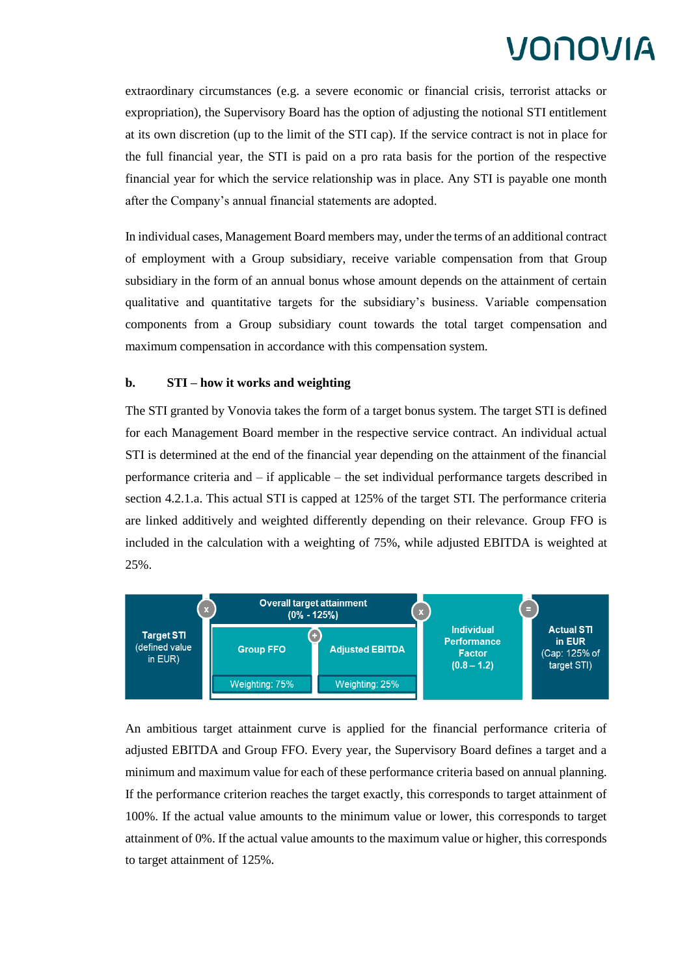extraordinary circumstances (e.g. a severe economic or financial crisis, terrorist attacks or expropriation), the Supervisory Board has the option of adjusting the notional STI entitlement at its own discretion (up to the limit of the STI cap). If the service contract is not in place for the full financial year, the STI is paid on a pro rata basis for the portion of the respective financial year for which the service relationship was in place. Any STI is payable one month after the Company's annual financial statements are adopted.

In individual cases, Management Board members may, under the terms of an additional contract of employment with a Group subsidiary, receive variable compensation from that Group subsidiary in the form of an annual bonus whose amount depends on the attainment of certain qualitative and quantitative targets for the subsidiary's business. Variable compensation components from a Group subsidiary count towards the total target compensation and maximum compensation in accordance with this compensation system.

#### **b. STI – how it works and weighting**

The STI granted by Vonovia takes the form of a target bonus system. The target STI is defined for each Management Board member in the respective service contract. An individual actual STI is determined at the end of the financial year depending on the attainment of the financial performance criteria and – if applicable – the set individual performance targets described in section 4.2.1.a. This actual STI is capped at 125% of the target STI. The performance criteria are linked additively and weighted differently depending on their relevance. Group FFO is included in the calculation with a weighting of 75%, while adjusted EBITDA is weighted at 25%.



An ambitious target attainment curve is applied for the financial performance criteria of adjusted EBITDA and Group FFO. Every year, the Supervisory Board defines a target and a minimum and maximum value for each of these performance criteria based on annual planning. If the performance criterion reaches the target exactly, this corresponds to target attainment of 100%. If the actual value amounts to the minimum value or lower, this corresponds to target attainment of 0%. If the actual value amounts to the maximum value or higher, this corresponds to target attainment of 125%.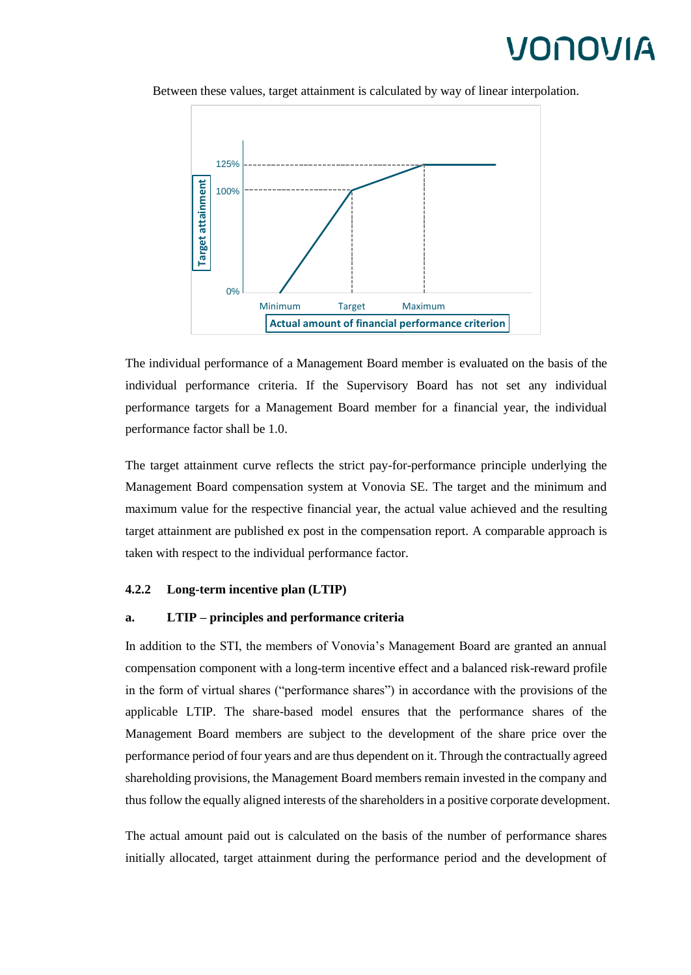

Between these values, target attainment is calculated by way of linear interpolation.

The individual performance of a Management Board member is evaluated on the basis of the individual performance criteria. If the Supervisory Board has not set any individual performance targets for a Management Board member for a financial year, the individual performance factor shall be 1.0.

The target attainment curve reflects the strict pay-for-performance principle underlying the Management Board compensation system at Vonovia SE. The target and the minimum and maximum value for the respective financial year, the actual value achieved and the resulting target attainment are published ex post in the compensation report. A comparable approach is taken with respect to the individual performance factor.

### **4.2.2 Long-term incentive plan (LTIP)**

#### **a. LTIP – principles and performance criteria**

In addition to the STI, the members of Vonovia's Management Board are granted an annual compensation component with a long-term incentive effect and a balanced risk-reward profile in the form of virtual shares ("performance shares") in accordance with the provisions of the applicable LTIP. The share-based model ensures that the performance shares of the Management Board members are subject to the development of the share price over the performance period of four years and are thus dependent on it. Through the contractually agreed shareholding provisions, the Management Board members remain invested in the company and thus follow the equally aligned interests of the shareholders in a positive corporate development.

The actual amount paid out is calculated on the basis of the number of performance shares initially allocated, target attainment during the performance period and the development of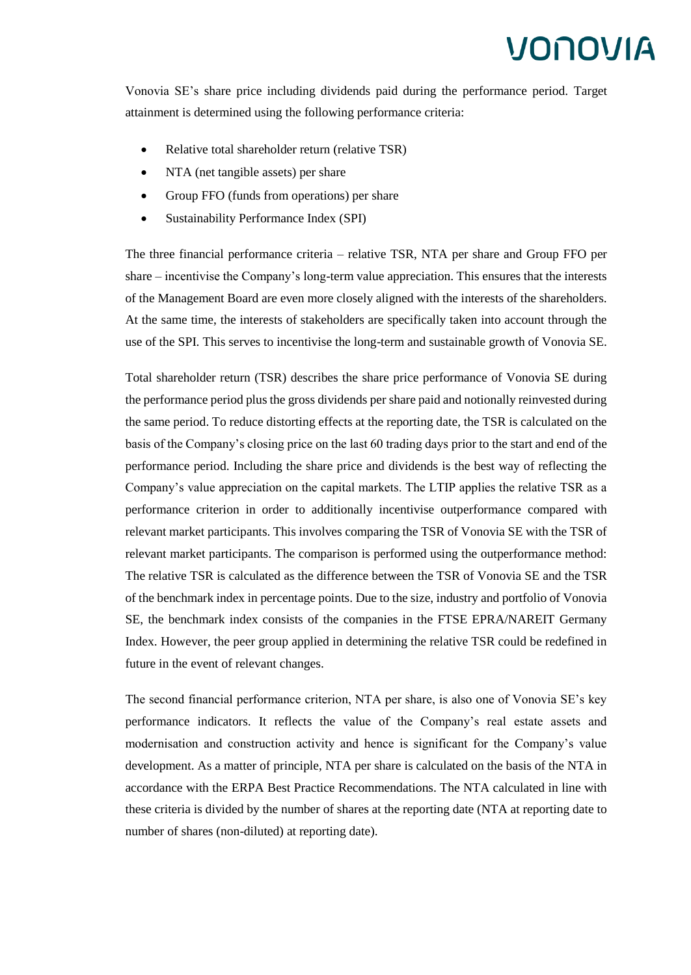Vonovia SE's share price including dividends paid during the performance period. Target attainment is determined using the following performance criteria:

- Relative total shareholder return (relative TSR)
- NTA (net tangible assets) per share
- Group FFO (funds from operations) per share
- Sustainability Performance Index (SPI)

The three financial performance criteria – relative TSR, NTA per share and Group FFO per share – incentivise the Company's long-term value appreciation. This ensures that the interests of the Management Board are even more closely aligned with the interests of the shareholders. At the same time, the interests of stakeholders are specifically taken into account through the use of the SPI. This serves to incentivise the long-term and sustainable growth of Vonovia SE.

Total shareholder return (TSR) describes the share price performance of Vonovia SE during the performance period plus the gross dividends per share paid and notionally reinvested during the same period. To reduce distorting effects at the reporting date, the TSR is calculated on the basis of the Company's closing price on the last 60 trading days prior to the start and end of the performance period. Including the share price and dividends is the best way of reflecting the Company's value appreciation on the capital markets. The LTIP applies the relative TSR as a performance criterion in order to additionally incentivise outperformance compared with relevant market participants. This involves comparing the TSR of Vonovia SE with the TSR of relevant market participants. The comparison is performed using the outperformance method: The relative TSR is calculated as the difference between the TSR of Vonovia SE and the TSR of the benchmark index in percentage points. Due to the size, industry and portfolio of Vonovia SE, the benchmark index consists of the companies in the FTSE EPRA/NAREIT Germany Index. However, the peer group applied in determining the relative TSR could be redefined in future in the event of relevant changes.

The second financial performance criterion, NTA per share, is also one of Vonovia SE's key performance indicators. It reflects the value of the Company's real estate assets and modernisation and construction activity and hence is significant for the Company's value development. As a matter of principle, NTA per share is calculated on the basis of the NTA in accordance with the ERPA Best Practice Recommendations. The NTA calculated in line with these criteria is divided by the number of shares at the reporting date (NTA at reporting date to number of shares (non-diluted) at reporting date).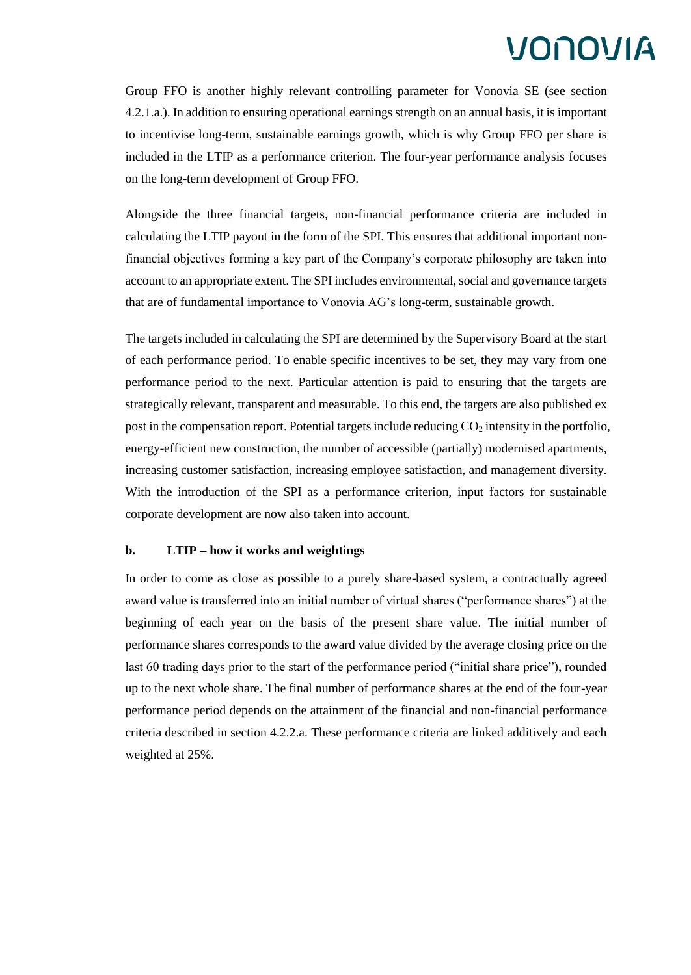Group FFO is another highly relevant controlling parameter for Vonovia SE (see section 4.2.1.a.). In addition to ensuring operational earnings strength on an annual basis, it is important to incentivise long-term, sustainable earnings growth, which is why Group FFO per share is included in the LTIP as a performance criterion. The four-year performance analysis focuses on the long-term development of Group FFO.

Alongside the three financial targets, non-financial performance criteria are included in calculating the LTIP payout in the form of the SPI. This ensures that additional important nonfinancial objectives forming a key part of the Company's corporate philosophy are taken into account to an appropriate extent. The SPI includes environmental, social and governance targets that are of fundamental importance to Vonovia AG's long-term, sustainable growth.

The targets included in calculating the SPI are determined by the Supervisory Board at the start of each performance period. To enable specific incentives to be set, they may vary from one performance period to the next. Particular attention is paid to ensuring that the targets are strategically relevant, transparent and measurable. To this end, the targets are also published ex post in the compensation report. Potential targets include reducing  $CO<sub>2</sub>$  intensity in the portfolio, energy-efficient new construction, the number of accessible (partially) modernised apartments, increasing customer satisfaction, increasing employee satisfaction, and management diversity. With the introduction of the SPI as a performance criterion, input factors for sustainable corporate development are now also taken into account.

### **b. LTIP – how it works and weightings**

In order to come as close as possible to a purely share-based system, a contractually agreed award value is transferred into an initial number of virtual shares ("performance shares") at the beginning of each year on the basis of the present share value. The initial number of performance shares corresponds to the award value divided by the average closing price on the last 60 trading days prior to the start of the performance period ("initial share price"), rounded up to the next whole share. The final number of performance shares at the end of the four-year performance period depends on the attainment of the financial and non-financial performance criteria described in section 4.2.2.a. These performance criteria are linked additively and each weighted at 25%.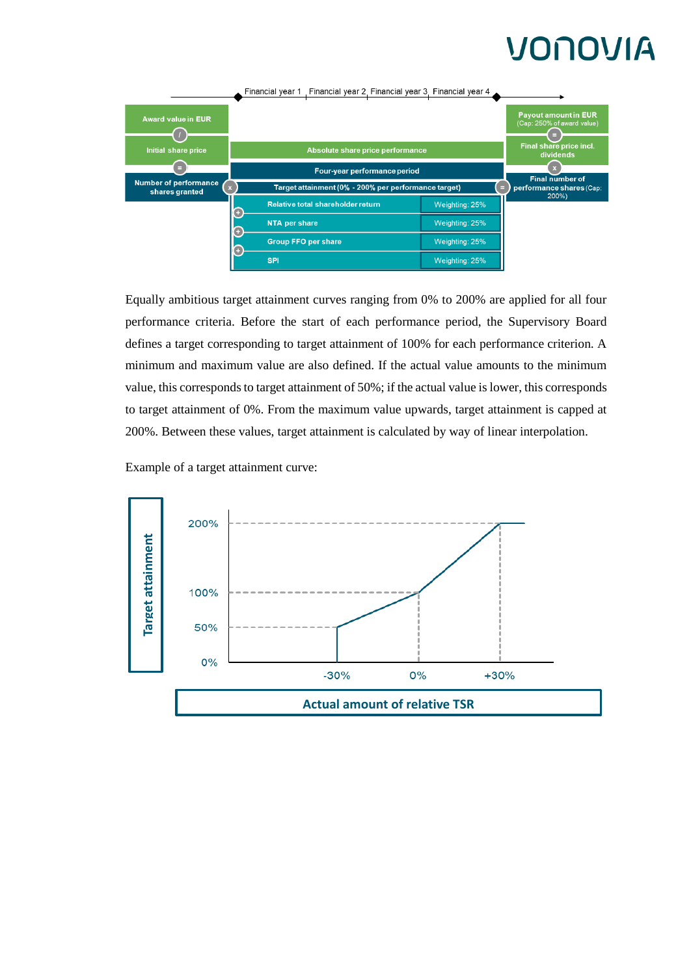

Equally ambitious target attainment curves ranging from 0% to 200% are applied for all four performance criteria. Before the start of each performance period, the Supervisory Board defines a target corresponding to target attainment of 100% for each performance criterion. A minimum and maximum value are also defined. If the actual value amounts to the minimum value, this corresponds to target attainment of 50%; if the actual value is lower, this corresponds to target attainment of 0%. From the maximum value upwards, target attainment is capped at 200%. Between these values, target attainment is calculated by way of linear interpolation.

Example of a target attainment curve:

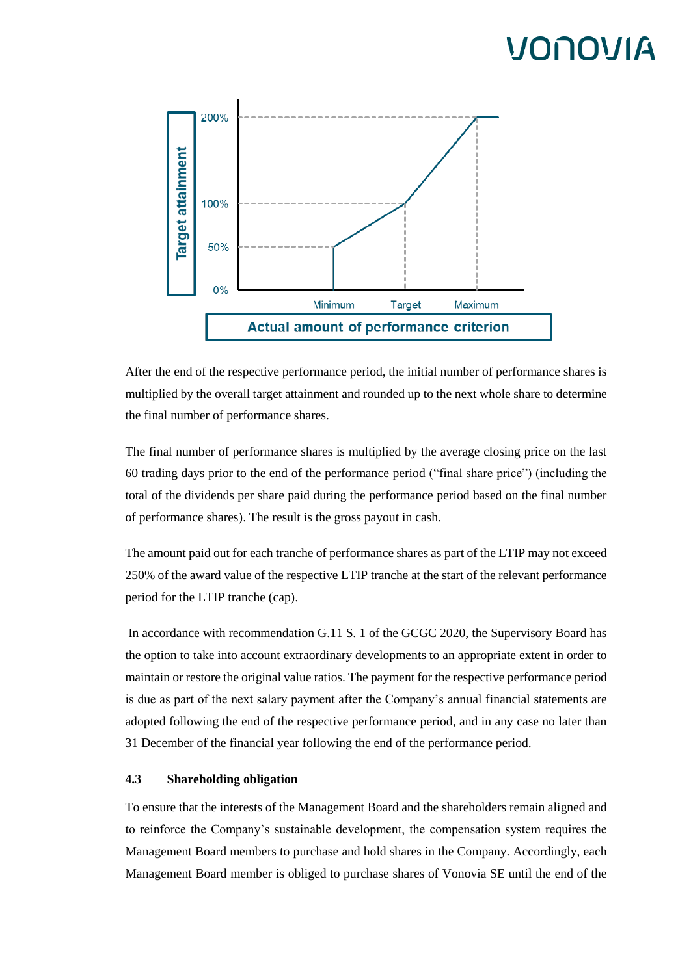

After the end of the respective performance period, the initial number of performance shares is multiplied by the overall target attainment and rounded up to the next whole share to determine the final number of performance shares.

The final number of performance shares is multiplied by the average closing price on the last 60 trading days prior to the end of the performance period ("final share price") (including the total of the dividends per share paid during the performance period based on the final number of performance shares). The result is the gross payout in cash.

The amount paid out for each tranche of performance shares as part of the LTIP may not exceed 250% of the award value of the respective LTIP tranche at the start of the relevant performance period for the LTIP tranche (cap).

In accordance with recommendation G.11 S. 1 of the GCGC 2020, the Supervisory Board has the option to take into account extraordinary developments to an appropriate extent in order to maintain or restore the original value ratios. The payment for the respective performance period is due as part of the next salary payment after the Company's annual financial statements are adopted following the end of the respective performance period, and in any case no later than 31 December of the financial year following the end of the performance period.

### **4.3 Shareholding obligation**

To ensure that the interests of the Management Board and the shareholders remain aligned and to reinforce the Company's sustainable development, the compensation system requires the Management Board members to purchase and hold shares in the Company. Accordingly, each Management Board member is obliged to purchase shares of Vonovia SE until the end of the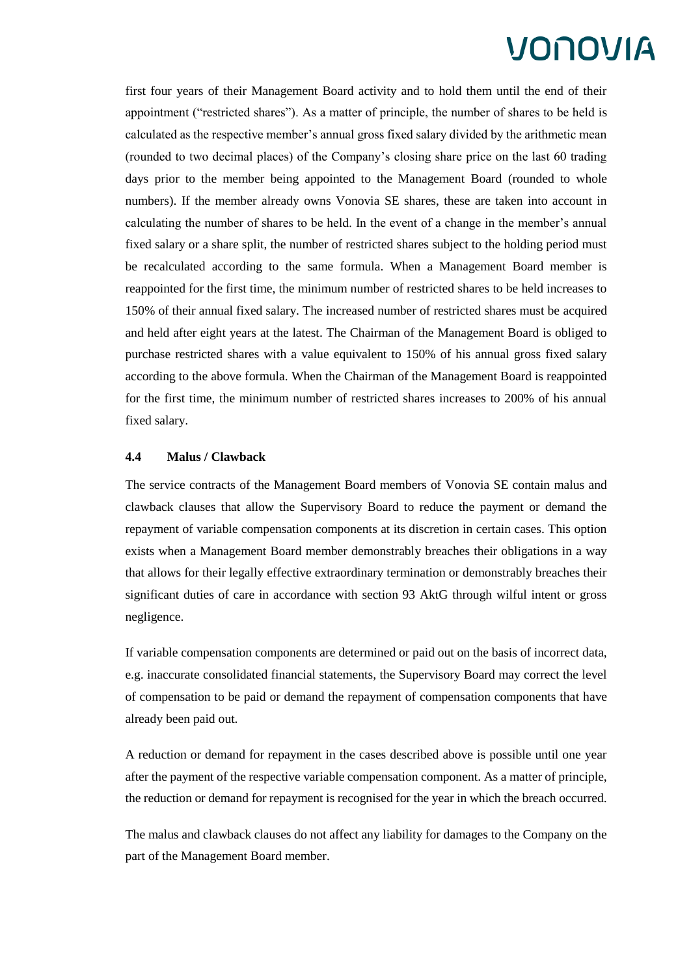first four years of their Management Board activity and to hold them until the end of their appointment ("restricted shares"). As a matter of principle, the number of shares to be held is calculated as the respective member's annual gross fixed salary divided by the arithmetic mean (rounded to two decimal places) of the Company's closing share price on the last 60 trading days prior to the member being appointed to the Management Board (rounded to whole numbers). If the member already owns Vonovia SE shares, these are taken into account in calculating the number of shares to be held. In the event of a change in the member's annual fixed salary or a share split, the number of restricted shares subject to the holding period must be recalculated according to the same formula. When a Management Board member is reappointed for the first time, the minimum number of restricted shares to be held increases to 150% of their annual fixed salary. The increased number of restricted shares must be acquired and held after eight years at the latest. The Chairman of the Management Board is obliged to purchase restricted shares with a value equivalent to 150% of his annual gross fixed salary according to the above formula. When the Chairman of the Management Board is reappointed for the first time, the minimum number of restricted shares increases to 200% of his annual fixed salary.

### **4.4 Malus / Clawback**

The service contracts of the Management Board members of Vonovia SE contain malus and clawback clauses that allow the Supervisory Board to reduce the payment or demand the repayment of variable compensation components at its discretion in certain cases. This option exists when a Management Board member demonstrably breaches their obligations in a way that allows for their legally effective extraordinary termination or demonstrably breaches their significant duties of care in accordance with section 93 AktG through wilful intent or gross negligence.

If variable compensation components are determined or paid out on the basis of incorrect data, e.g. inaccurate consolidated financial statements, the Supervisory Board may correct the level of compensation to be paid or demand the repayment of compensation components that have already been paid out.

A reduction or demand for repayment in the cases described above is possible until one year after the payment of the respective variable compensation component. As a matter of principle, the reduction or demand for repayment is recognised for the year in which the breach occurred.

The malus and clawback clauses do not affect any liability for damages to the Company on the part of the Management Board member.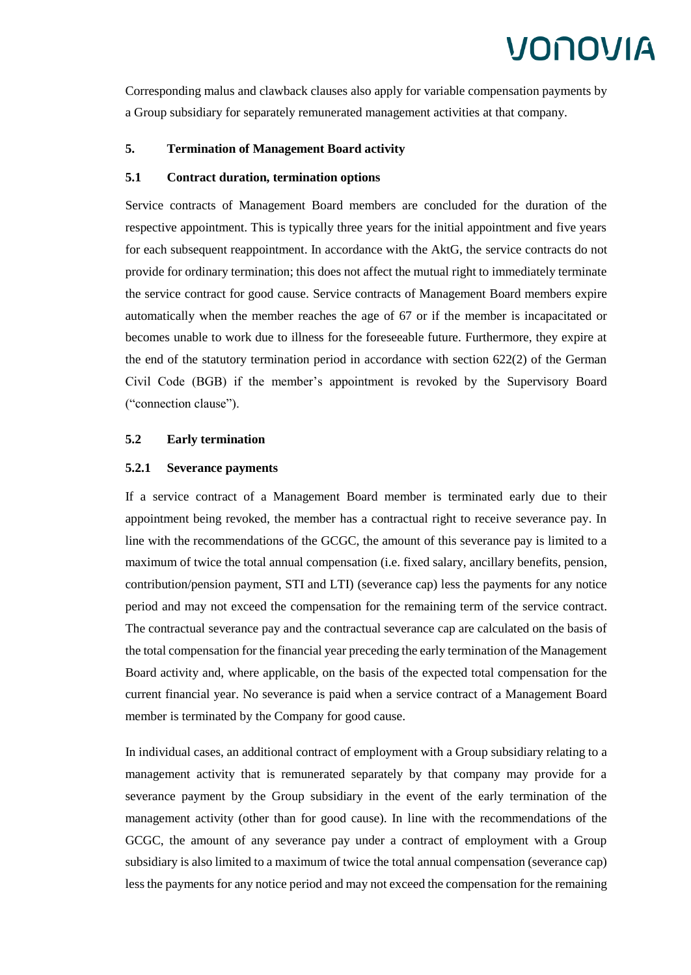Corresponding malus and clawback clauses also apply for variable compensation payments by a Group subsidiary for separately remunerated management activities at that company.

### **5. Termination of Management Board activity**

### **5.1 Contract duration, termination options**

Service contracts of Management Board members are concluded for the duration of the respective appointment. This is typically three years for the initial appointment and five years for each subsequent reappointment. In accordance with the AktG, the service contracts do not provide for ordinary termination; this does not affect the mutual right to immediately terminate the service contract for good cause. Service contracts of Management Board members expire automatically when the member reaches the age of 67 or if the member is incapacitated or becomes unable to work due to illness for the foreseeable future. Furthermore, they expire at the end of the statutory termination period in accordance with section 622(2) of the German Civil Code (BGB) if the member's appointment is revoked by the Supervisory Board ("connection clause").

### **5.2 Early termination**

#### **5.2.1 Severance payments**

If a service contract of a Management Board member is terminated early due to their appointment being revoked, the member has a contractual right to receive severance pay. In line with the recommendations of the GCGC, the amount of this severance pay is limited to a maximum of twice the total annual compensation (i.e. fixed salary, ancillary benefits, pension, contribution/pension payment, STI and LTI) (severance cap) less the payments for any notice period and may not exceed the compensation for the remaining term of the service contract. The contractual severance pay and the contractual severance cap are calculated on the basis of the total compensation for the financial year preceding the early termination of the Management Board activity and, where applicable, on the basis of the expected total compensation for the current financial year. No severance is paid when a service contract of a Management Board member is terminated by the Company for good cause.

In individual cases, an additional contract of employment with a Group subsidiary relating to a management activity that is remunerated separately by that company may provide for a severance payment by the Group subsidiary in the event of the early termination of the management activity (other than for good cause). In line with the recommendations of the GCGC, the amount of any severance pay under a contract of employment with a Group subsidiary is also limited to a maximum of twice the total annual compensation (severance cap) less the payments for any notice period and may not exceed the compensation for the remaining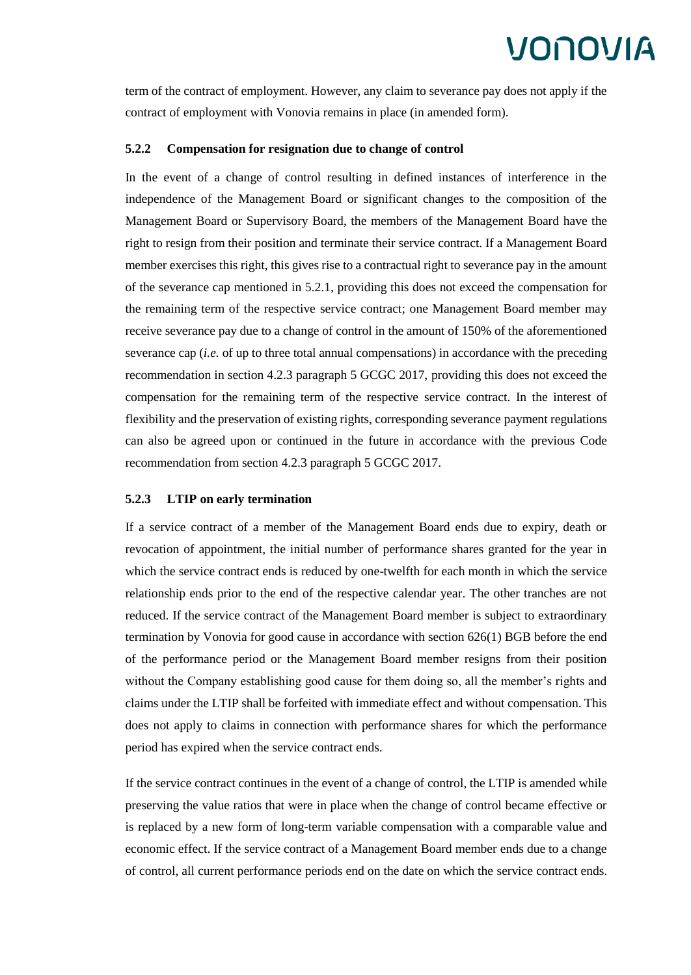term of the contract of employment. However, any claim to severance pay does not apply if the contract of employment with Vonovia remains in place (in amended form).

#### **5.2.2 Compensation for resignation due to change of control**

In the event of a change of control resulting in defined instances of interference in the independence of the Management Board or significant changes to the composition of the Management Board or Supervisory Board, the members of the Management Board have the right to resign from their position and terminate their service contract. If a Management Board member exercises this right, this gives rise to a contractual right to severance pay in the amount of the severance cap mentioned in 5.2.1, providing this does not exceed the compensation for the remaining term of the respective service contract; one Management Board member may receive severance pay due to a change of control in the amount of 150% of the aforementioned severance cap (*i.e.* of up to three total annual compensations) in accordance with the preceding recommendation in section 4.2.3 paragraph 5 GCGC 2017, providing this does not exceed the compensation for the remaining term of the respective service contract. In the interest of flexibility and the preservation of existing rights, corresponding severance payment regulations can also be agreed upon or continued in the future in accordance with the previous Code recommendation from section 4.2.3 paragraph 5 GCGC 2017.

#### **5.2.3 LTIP on early termination**

If a service contract of a member of the Management Board ends due to expiry, death or revocation of appointment, the initial number of performance shares granted for the year in which the service contract ends is reduced by one-twelfth for each month in which the service relationship ends prior to the end of the respective calendar year. The other tranches are not reduced. If the service contract of the Management Board member is subject to extraordinary termination by Vonovia for good cause in accordance with section 626(1) BGB before the end of the performance period or the Management Board member resigns from their position without the Company establishing good cause for them doing so, all the member's rights and claims under the LTIP shall be forfeited with immediate effect and without compensation. This does not apply to claims in connection with performance shares for which the performance period has expired when the service contract ends.

If the service contract continues in the event of a change of control, the LTIP is amended while preserving the value ratios that were in place when the change of control became effective or is replaced by a new form of long-term variable compensation with a comparable value and economic effect. If the service contract of a Management Board member ends due to a change of control, all current performance periods end on the date on which the service contract ends.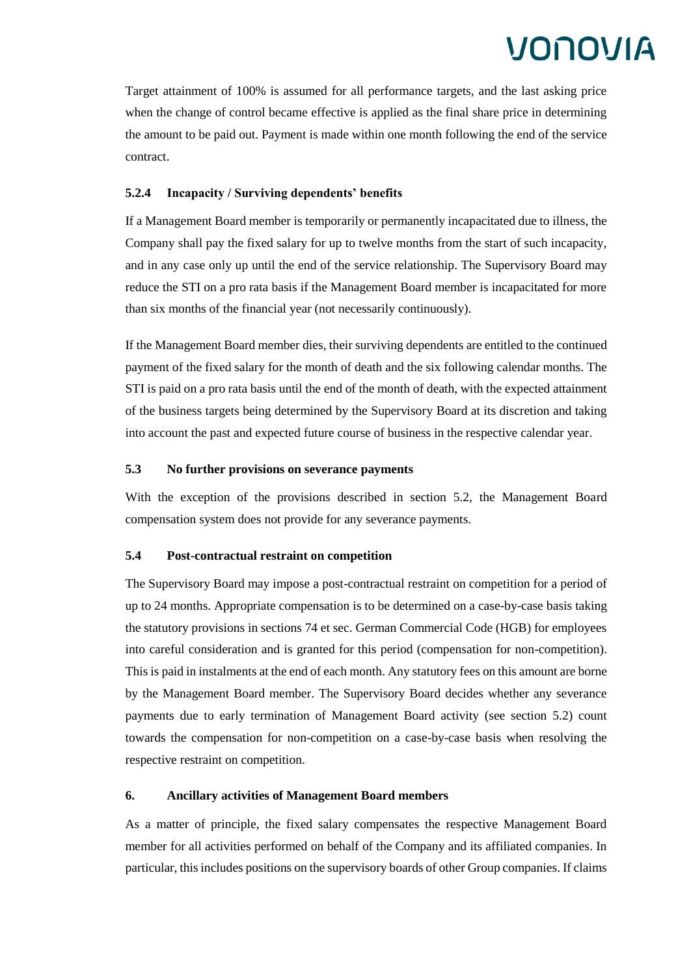Target attainment of 100% is assumed for all performance targets, and the last asking price when the change of control became effective is applied as the final share price in determining the amount to be paid out. Payment is made within one month following the end of the service contract.

### **5.2.4 Incapacity / Surviving dependents' benefits**

If a Management Board member is temporarily or permanently incapacitated due to illness, the Company shall pay the fixed salary for up to twelve months from the start of such incapacity, and in any case only up until the end of the service relationship. The Supervisory Board may reduce the STI on a pro rata basis if the Management Board member is incapacitated for more than six months of the financial year (not necessarily continuously).

If the Management Board member dies, their surviving dependents are entitled to the continued payment of the fixed salary for the month of death and the six following calendar months. The STI is paid on a pro rata basis until the end of the month of death, with the expected attainment of the business targets being determined by the Supervisory Board at its discretion and taking into account the past and expected future course of business in the respective calendar year.

### **5.3 No further provisions on severance payments**

With the exception of the provisions described in section 5.2, the Management Board compensation system does not provide for any severance payments.

### **5.4 Post-contractual restraint on competition**

The Supervisory Board may impose a post-contractual restraint on competition for a period of up to 24 months. Appropriate compensation is to be determined on a case-by-case basis taking the statutory provisions in sections 74 et sec. German Commercial Code (HGB) for employees into careful consideration and is granted for this period (compensation for non-competition). This is paid in instalments at the end of each month. Any statutory fees on this amount are borne by the Management Board member. The Supervisory Board decides whether any severance payments due to early termination of Management Board activity (see section 5.2) count towards the compensation for non-competition on a case-by-case basis when resolving the respective restraint on competition.

### **6. Ancillary activities of Management Board members**

As a matter of principle, the fixed salary compensates the respective Management Board member for all activities performed on behalf of the Company and its affiliated companies. In particular, this includes positions on the supervisory boards of other Group companies. If claims